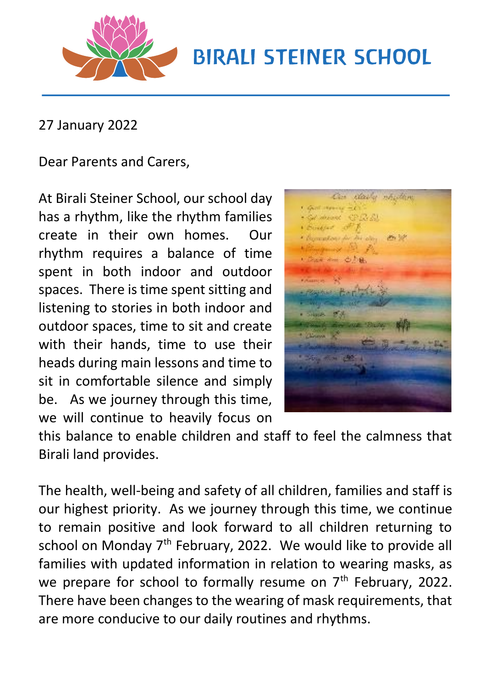

## **BIRALI STEINER SCHOOL**

27 January 2022

Dear Parents and Carers,

At Birali Steiner School, our school day has a rhythm, like the rhythm families create in their own homes. Our rhythm requires a balance of time spent in both indoor and outdoor spaces. There is time spent sitting and listening to stories in both indoor and outdoor spaces, time to sit and create with their hands, time to use their heads during main lessons and time to sit in comfortable silence and simply be. As we journey through this time, we will continue to heavily focus on



this balance to enable children and staff to feel the calmness that Birali land provides.

The health, well-being and safety of all children, families and staff is our highest priority. As we journey through this time, we continue to remain positive and look forward to all children returning to school on Monday  $7<sup>th</sup>$  February, 2022. We would like to provide all families with updated information in relation to wearing masks, as we prepare for school to formally resume on  $7<sup>th</sup>$  February, 2022. There have been changes to the wearing of mask requirements, that are more conducive to our daily routines and rhythms.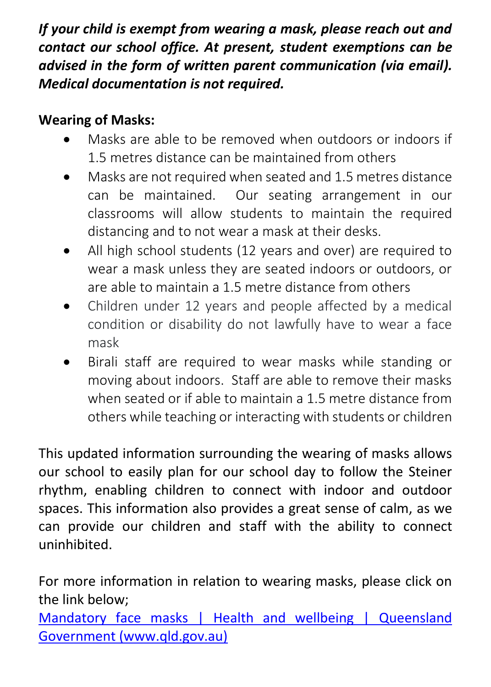*If your child is exempt from wearing a mask, please reach out and contact our school office. At present, student exemptions can be advised in the form of written parent communication (via email). Medical documentation is not required.* 

## **Wearing of Masks:**

- Masks are able to be removed when outdoors or indoors if 1.5 metres distance can be maintained from others
- Masks are not required when seated and 1.5 metres distance can be maintained. Our seating arrangement in our classrooms will allow students to maintain the required distancing and to not wear a mask at their desks.
- All high school students (12 years and over) are required to wear a mask unless they are seated indoors or outdoors, or are able to maintain a 1.5 metre distance from others
- Children under 12 years and people affected by a medical condition or disability do not lawfully have to wear a face mask
- Birali staff are required to wear masks while standing or moving about indoors. Staff are able to remove their masks when seated or if able to maintain a 1.5 metre distance from others while teaching or interacting with students or children

This updated information surrounding the wearing of masks allows our school to easily plan for our school day to follow the Steiner rhythm, enabling children to connect with indoor and outdoor spaces. This information also provides a great sense of calm, as we can provide our children and staff with the ability to connect uninhibited.

For more information in relation to wearing masks, please click on the link below;

[Mandatory face masks | Health and wellbeing | Queensland](https://www.qld.gov.au/health/conditions/health-alerts/coronavirus-covid-19/current-status/public-health-directions/mandatory-masks#msdynttrid=vP2daTkUsORxcibURZnBkuhLETLiFSlb9Rn8CQozkPg)  [Government \(www.qld.gov.au\)](https://www.qld.gov.au/health/conditions/health-alerts/coronavirus-covid-19/current-status/public-health-directions/mandatory-masks#msdynttrid=vP2daTkUsORxcibURZnBkuhLETLiFSlb9Rn8CQozkPg)